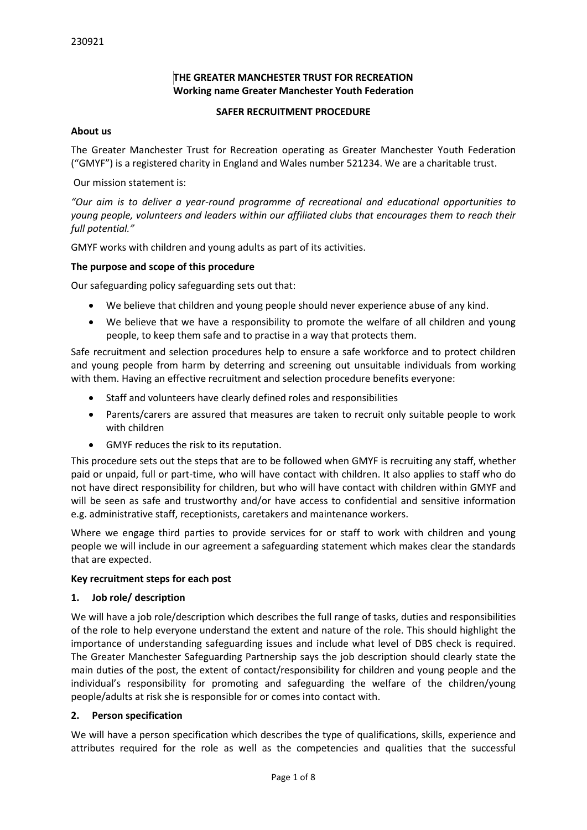# **THE GREATER MANCHESTER TRUST FOR RECREATION Working name Greater Manchester Youth Federation**

### **SAFER RECRUITMENT PROCEDURE**

### **About us**

The Greater Manchester Trust for Recreation operating as Greater Manchester Youth Federation ("GMYF") is a registered charity in England and Wales number 521234. We are a charitable trust.

Our mission statement is:

*"Our aim is to deliver a year-round programme of recreational and educational opportunities to young people, volunteers and leaders within our affiliated clubs that encourages them to reach their full potential."*

GMYF works with children and young adults as part of its activities.

### **The purpose and scope of this procedure**

Our safeguarding policy safeguarding sets out that:

- We believe that children and young people should never experience abuse of any kind.
- We believe that we have a responsibility to promote the welfare of all children and young people, to keep them safe and to practise in a way that protects them.

Safe recruitment and selection procedures help to ensure a safe workforce and to protect children and young people from harm by deterring and screening out unsuitable individuals from working with them. Having an effective recruitment and selection procedure benefits everyone:

- Staff and volunteers have clearly defined roles and responsibilities
- Parents/carers are assured that measures are taken to recruit only suitable people to work with children
- GMYF reduces the risk to its reputation.

This procedure sets out the steps that are to be followed when GMYF is recruiting any staff, whether paid or unpaid, full or part-time, who will have contact with children. It also applies to staff who do not have direct responsibility for children, but who will have contact with children within GMYF and will be seen as safe and trustworthy and/or have access to confidential and sensitive information e.g. administrative staff, receptionists, caretakers and maintenance workers.

Where we engage third parties to provide services for or staff to work with children and young people we will include in our agreement a safeguarding statement which makes clear the standards that are expected.

### **Key recruitment steps for each post**

### **1. Job role/ description**

We will have a job role/description which describes the full range of tasks, duties and responsibilities of the role to help everyone understand the extent and nature of the role. This should highlight the importance of understanding safeguarding issues and include what level of DBS check is required. The Greater Manchester Safeguarding Partnership says the job description should clearly state the main duties of the post, the extent of contact/responsibility for children and young people and the individual's responsibility for promoting and safeguarding the welfare of the children/young people/adults at risk she is responsible for or comes into contact with.

### **2. Person specification**

We will have a person specification which describes the type of qualifications, skills, experience and attributes required for the role as well as the competencies and qualities that the successful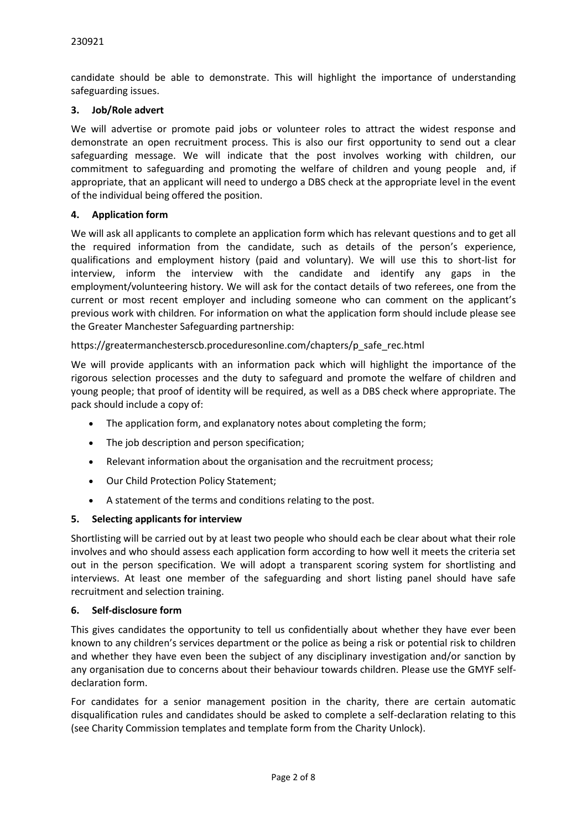candidate should be able to demonstrate. This will highlight the importance of understanding safeguarding issues.

### **3. Job/Role advert**

We will advertise or promote paid jobs or volunteer roles to attract the widest response and demonstrate an open recruitment process. This is also our first opportunity to send out a clear safeguarding message. We will indicate that the post involves working with children, our commitment to safeguarding and promoting the welfare of children and young people and, if appropriate, that an applicant will need to undergo a DBS check at the appropriate level in the event of the individual being offered the position.

## **4. Application form**

We will ask all applicants to complete an application form which has relevant questions and to get all the required information from the candidate, such as details of the person's experience, qualifications and employment history (paid and voluntary). We will use this to short-list for interview, inform the interview with the candidate and identify any gaps in the employment/volunteering history. We will ask for the contact details of two referees, one from the current or most recent employer and including someone who can comment on the applicant's previous work with children*.* For information on what the application form should include please see the Greater Manchester Safeguarding partnership:

## https://greatermanchesterscb.proceduresonline.com/chapters/p\_safe\_rec.html

We will provide applicants with an information pack which will highlight the importance of the rigorous selection processes and the duty to safeguard and promote the welfare of children and young people; that proof of identity will be required, as well as a DBS check where appropriate. The pack should include a copy of:

- The application form, and explanatory notes about completing the form;
- The job description and person specification;
- Relevant information about the organisation and the recruitment process;
- Our Child Protection Policy Statement;
- A statement of the terms and conditions relating to the post.

### **5. Selecting applicants for interview**

Shortlisting will be carried out by at least two people who should each be clear about what their role involves and who should assess each application form according to how well it meets the criteria set out in the person specification. We will adopt a transparent scoring system for shortlisting and interviews. At least one member of the safeguarding and short listing panel should have safe recruitment and selection training.

### **6. Self-disclosure form**

This gives candidates the opportunity to tell us confidentially about whether they have ever been known to any children's services department or the police as being a risk or potential risk to children and whether they have even been the subject of any disciplinary investigation and/or sanction by any organisation due to concerns about their behaviour towards children. Please use the GMYF selfdeclaration form.

For candidates for a senior management position in the charity, there are certain automatic disqualification rules and candidates should be asked to complete a self-declaration relating to this (see Charity Commission templates and template form from the Charity Unlock).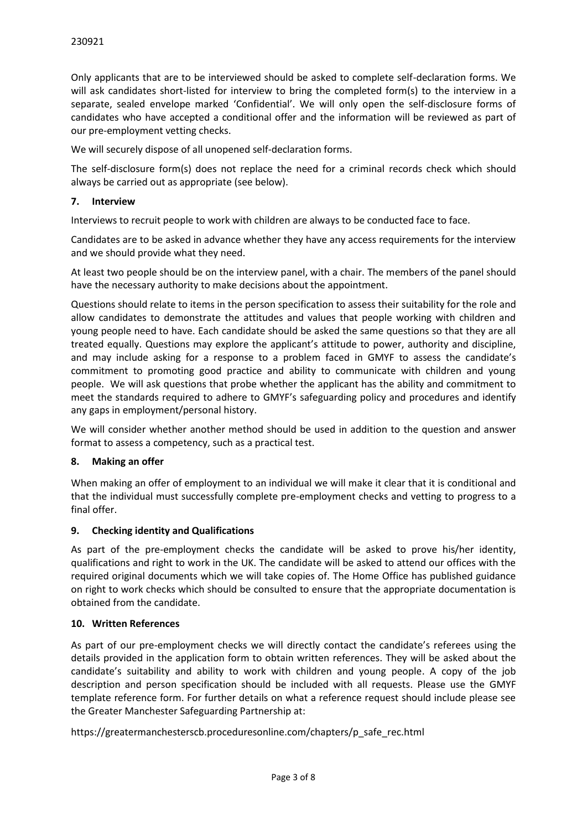Only applicants that are to be interviewed should be asked to complete self-declaration forms. We will ask candidates short-listed for interview to bring the completed form(s) to the interview in a separate, sealed envelope marked 'Confidential'. We will only open the self-disclosure forms of candidates who have accepted a conditional offer and the information will be reviewed as part of our pre-employment vetting checks.

We will securely dispose of all unopened self-declaration forms.

The self-disclosure form(s) does not replace the need for a criminal records check which should always be carried out as appropriate (see below).

### **7. Interview**

Interviews to recruit people to work with children are always to be conducted face to face.

Candidates are to be asked in advance whether they have any access requirements for the interview and we should provide what they need.

At least two people should be on the interview panel, with a chair. The members of the panel should have the necessary authority to make decisions about the appointment.

Questions should relate to items in the person specification to assess their suitability for the role and allow candidates to demonstrate the attitudes and values that people working with children and young people need to have. Each candidate should be asked the same questions so that they are all treated equally. Questions may explore the applicant's attitude to power, authority and discipline, and may include asking for a response to a problem faced in GMYF to assess the candidate's commitment to promoting good practice and ability to communicate with children and young people. We will ask questions that probe whether the applicant has the ability and commitment to meet the standards required to adhere to GMYF's safeguarding policy and procedures and identify any gaps in employment/personal history.

We will consider whether another method should be used in addition to the question and answer format to assess a competency, such as a practical test.

### **8. Making an offer**

When making an offer of employment to an individual we will make it clear that it is conditional and that the individual must successfully complete pre-employment checks and vetting to progress to a final offer.

### **9. Checking identity and Qualifications**

As part of the pre-employment checks the candidate will be asked to prove his/her identity, qualifications and right to work in the UK. The candidate will be asked to attend our offices with the required original documents which we will take copies of. The Home Office has published guidance on right to work checks which should be consulted to ensure that the appropriate documentation is obtained from the candidate.

### **10. Written References**

As part of our pre-employment checks we will directly contact the candidate's referees using the details provided in the application form to obtain written references. They will be asked about the candidate's suitability and ability to work with children and young people. A copy of the job description and person specification should be included with all requests. Please use the GMYF template reference form. For further details on what a reference request should include please see the Greater Manchester Safeguarding Partnership at:

https://greatermanchesterscb.proceduresonline.com/chapters/p\_safe\_rec.html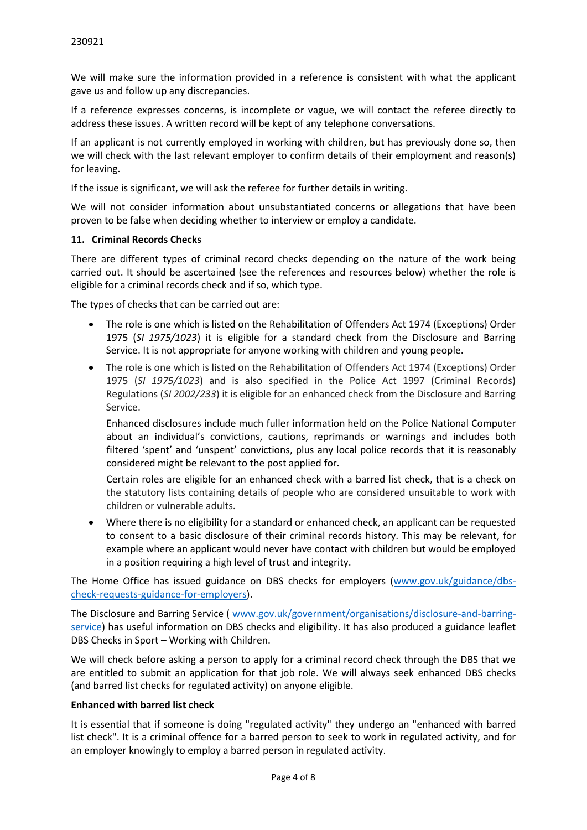We will make sure the information provided in a reference is consistent with what the applicant gave us and follow up any discrepancies.

If a reference expresses concerns, is incomplete or vague, we will contact the referee directly to address these issues. A written record will be kept of any telephone conversations.

If an applicant is not currently employed in working with children, but has previously done so, then we will check with the last relevant employer to confirm details of their employment and reason(s) for leaving.

If the issue is significant, we will ask the referee for further details in writing.

We will not consider information about unsubstantiated concerns or allegations that have been proven to be false when deciding whether to interview or employ a candidate.

### **11. Criminal Records Checks**

There are different types of criminal record checks depending on the nature of the work being carried out. It should be ascertained (see the references and resources below) whether the role is eligible for a criminal records check and if so, which type.

The types of checks that can be carried out are:

- The role is one which is listed on the Rehabilitation of Offenders Act 1974 (Exceptions) Order 1975 (*SI 1975/1023*) it is eligible for a standard check from the Disclosure and Barring Service. It is not appropriate for anyone working with children and young people.
- The role is one which is listed on the Rehabilitation of Offenders Act 1974 (Exceptions) Order 1975 (*SI 1975/1023*) and is also specified in the Police Act 1997 (Criminal Records) Regulations (*SI 2002/233*) it is eligible for an enhanced check from the Disclosure and Barring Service.

Enhanced disclosures include much fuller information held on the Police National Computer about an individual's convictions, cautions, reprimands or warnings and includes both filtered 'spent' and 'unspent' convictions, plus any local police records that it is reasonably considered might be relevant to the post applied for.

Certain roles are eligible for an enhanced check with a barred list check, that is a check on the statutory lists containing details of people who are considered unsuitable to work with children or vulnerable adults.

 Where there is no eligibility for a standard or enhanced check, an applicant can be requested to consent to a basic disclosure of their criminal records history. This may be relevant, for example where an applicant would never have contact with children but would be employed in a position requiring a high level of trust and integrity.

The Home Office has issued guidance on DBS checks for employers [\(www.gov.uk/guidance/dbs](http://www.gov.uk/guidance/dbs-check-requests-guidance-for-employers)[check-requests-guidance-for-employers\)](http://www.gov.uk/guidance/dbs-check-requests-guidance-for-employers).

The Disclosure and Barring Service ( [www.gov.uk/government/organisations/disclosure-and-barring](http://www.gov.uk/government/organisations/disclosure-and-barring-service)[service\)](http://www.gov.uk/government/organisations/disclosure-and-barring-service) has useful information on DBS checks and eligibility. It has also produced a guidance leaflet DBS Checks in Sport – Working with Children.

We will check before asking a person to apply for a criminal record check through the DBS that we are entitled to submit an application for that job role. We will always seek enhanced DBS checks (and barred list checks for regulated activity) on anyone eligible.

#### **Enhanced with barred list check**

It is essential that if someone is doing "regulated activity" they undergo an "enhanced with barred list check". It is a criminal offence for a barred person to seek to work in regulated activity, and for an employer knowingly to employ a barred person in regulated activity.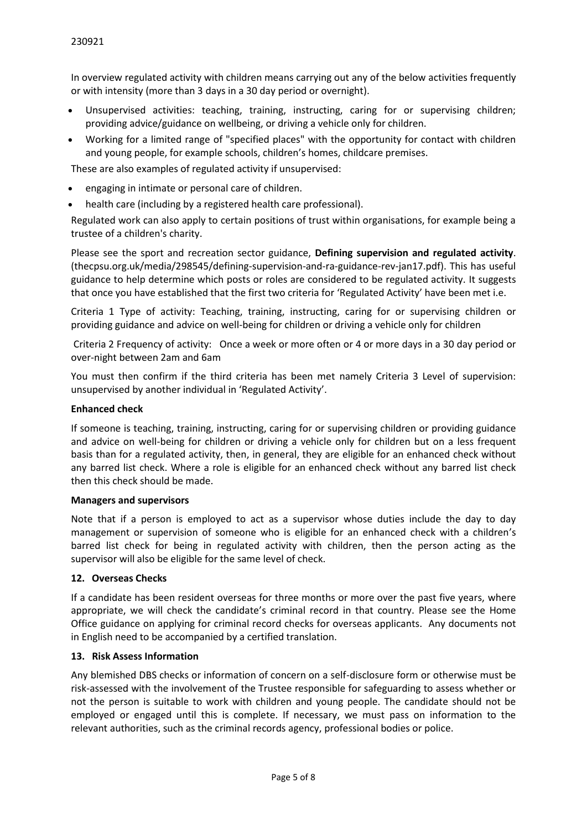In overview regulated activity with children means carrying out any of the below activities frequently or with intensity (more than 3 days in a 30 day period or overnight).

- Unsupervised activities: teaching, training, instructing, caring for or supervising children; providing advice/guidance on wellbeing, or driving a vehicle only for children.
- Working for a limited range of "specified places" with the opportunity for contact with children and young people, for example schools, children's homes, childcare premises.

These are also examples of regulated activity if unsupervised:

- engaging in intimate or personal care of children.
- health care (including by a registered health care professional).

Regulated work can also apply to certain positions of trust within organisations, for example being a trustee of a children's charity.

Please see the sport and recreation sector guidance, **[Defining supervision and regulated activity](https://thecpsu.org.uk/resource-library/best-practice/defining-supervision-and-regulated-activity-sport-and-recreation-sector-guidance/)**. (thecpsu.org.uk/media/298545/defining-supervision-and-ra-guidance-rev-jan17.pdf). This has useful guidance to help determine which posts or roles are considered to be regulated activity. It suggests that once you have established that the first two criteria for 'Regulated Activity' have been met i.e.

Criteria 1 Type of activity: Teaching, training, instructing, caring for or supervising children or providing guidance and advice on well-being for children or driving a vehicle only for children

 Criteria 2 Frequency of activity: Once a week or more often or 4 or more days in a 30 day period or over-night between 2am and 6am

You must then confirm if the third criteria has been met namely Criteria 3 Level of supervision: unsupervised by another individual in 'Regulated Activity'.

### **Enhanced check**

If someone is teaching, training, instructing, caring for or supervising children or providing guidance and advice on well-being for children or driving a vehicle only for children but on a less frequent basis than for a regulated activity, then, in general, they are eligible for an enhanced check without any barred list check. Where a role is eligible for an enhanced check without any barred list check then this check should be made.

#### **Managers and supervisors**

Note that if a person is employed to act as a supervisor whose duties include the day to day management or supervision of someone who is eligible for an enhanced check with a children's barred list check for being in regulated activity with children, then the person acting as the supervisor will also be eligible for the same level of check.

### **12. Overseas Checks**

If a candidate has been resident overseas for three months or more over the past five years, where appropriate, we will check the candidate's criminal record in that country. Please see the Home Office guidance on applying for criminal record checks for overseas applicants. Any documents not in English need to be accompanied by a certified translation.

### **13. Risk Assess Information**

Any blemished DBS checks or information of concern on a self-disclosure form or otherwise must be risk-assessed with the involvement of the Trustee responsible for safeguarding to assess whether or not the person is suitable to work with children and young people. The candidate should not be employed or engaged until this is complete. If necessary, we must pass on information to the relevant authorities, such as the criminal records agency, professional bodies or police.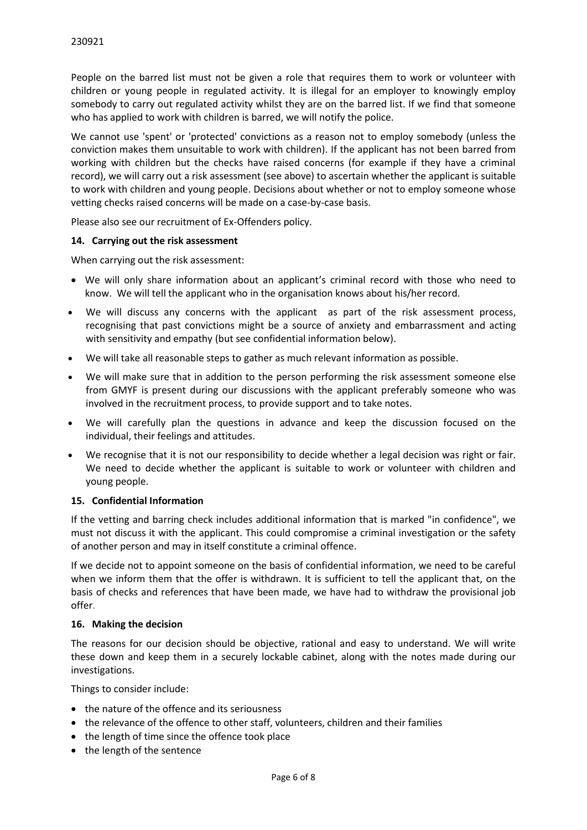People on the barred list must not be given a role that requires them to work or volunteer with children or young people in regulated activity. It is illegal for an employer to knowingly employ somebody to carry out regulated activity whilst they are on the barred list. If we find that someone who has applied to work with children is barred, we will notify the police.

We cannot use 'spent' or 'protected' convictions as a reason not to employ somebody (unless the conviction makes them unsuitable to work with children). If the applicant has not been barred from working with children but the checks have raised concerns (for example if they have a criminal record), we will carry out a risk assessment (see above) to ascertain whether the applicant is suitable to work with children and young people. Decisions about whether or not to employ someone whose vetting checks raised concerns will be made on a case-by-case basis.

Please also see our recruitment of Ex-Offenders policy.

## **14. Carrying out the risk assessment**

When carrying out the risk assessment:

- We will only share information about an applicant's criminal record with those who need to know. We will tell the applicant who in the organisation knows about his/her record.
- We will discuss any concerns with the applicant as part of the risk assessment process, recognising that past convictions might be a source of anxiety and embarrassment and acting with sensitivity and empathy (but see confidential information below).
- We will take all reasonable steps to gather as much relevant information as possible.
- We will make sure that in addition to the person performing the risk assessment someone else from GMYF is present during our discussions with the applicant preferably someone who was involved in the recruitment process, to provide support and to take notes.
- We will carefully plan the questions in advance and keep the discussion focused on the individual, their feelings and attitudes.
- We recognise that it is not our responsibility to decide whether a legal decision was right or fair. We need to decide whether the applicant is suitable to work or volunteer with children and young people.

### **15. Confidential Information**

If the vetting and barring check includes additional information that is marked "in confidence", we must not discuss it with the applicant. This could compromise a criminal investigation or the safety of another person and may in itself constitute a criminal offence.

If we decide not to appoint someone on the basis of confidential information, we need to be careful when we inform them that the offer is withdrawn. It is sufficient to tell the applicant that, on the basis of checks and references that have been made, we have had to withdraw the provisional job offer.

### **16. Making the decision**

The reasons for our decision should be objective, rational and easy to understand. We will write these down and keep them in a securely lockable cabinet, along with the notes made during our investigations.

Things to consider include:

- the nature of the offence and its seriousness
- the relevance of the offence to other staff, volunteers, children and their families
- the length of time since the offence took place
- the length of the sentence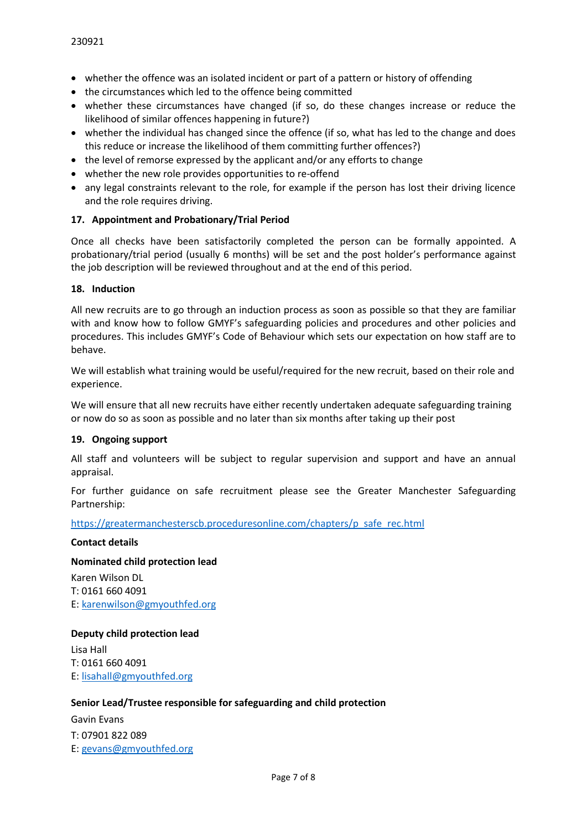- whether the offence was an isolated incident or part of a pattern or history of offending
- the circumstances which led to the offence being committed
- whether these circumstances have changed (if so, do these changes increase or reduce the likelihood of similar offences happening in future?)
- whether the individual has changed since the offence (if so, what has led to the change and does this reduce or increase the likelihood of them committing further offences?)
- the level of remorse expressed by the applicant and/or any efforts to change
- whether the new role provides opportunities to re-offend
- any legal constraints relevant to the role, for example if the person has lost their driving licence and the role requires driving.

### **17. Appointment and Probationary/Trial Period**

Once all checks have been satisfactorily completed the person can be formally appointed. A probationary/trial period (usually 6 months) will be set and the post holder's performance against the job description will be reviewed throughout and at the end of this period.

#### **18. Induction**

All new recruits are to go through an induction process as soon as possible so that they are familiar with and know how to follow GMYF's safeguarding policies and procedures and other policies and procedures. This includes GMYF's Code of Behaviour which sets our expectation on how staff are to behave.

We will establish what training would be useful/required for the new recruit, based on their role and experience.

We will ensure that all new recruits have either recently undertaken adequate safeguarding training or now do so as soon as possible and no later than six months after taking up their post

### **19. Ongoing support**

All staff and volunteers will be subject to regular supervision and support and have an annual appraisal.

For further guidance on safe recruitment please see the Greater Manchester Safeguarding Partnership:

[https://greatermanchesterscb.proceduresonline.com/chapters/p\\_safe\\_rec.html](https://greatermanchesterscb.proceduresonline.com/chapters/p_safe_rec.html)

#### **Contact details**

#### **Nominated child protection lead**

Karen Wilson DL T: 0161 660 4091 E: [karenwilson@gmyouthfed.org](mailto:karenwilson@gmyf.org)

#### **Deputy child protection lead**

Lisa Hall T: 0161 660 4091 E: [lisahall@gmyouthfed.org](mailto:lisahall@gmyf.org)

### **Senior Lead/Trustee responsible for safeguarding and child protection**

Gavin Evans T: 07901 822 089 E: [gevans@gmyouthfed.org](mailto:gevans@gmyf.org)